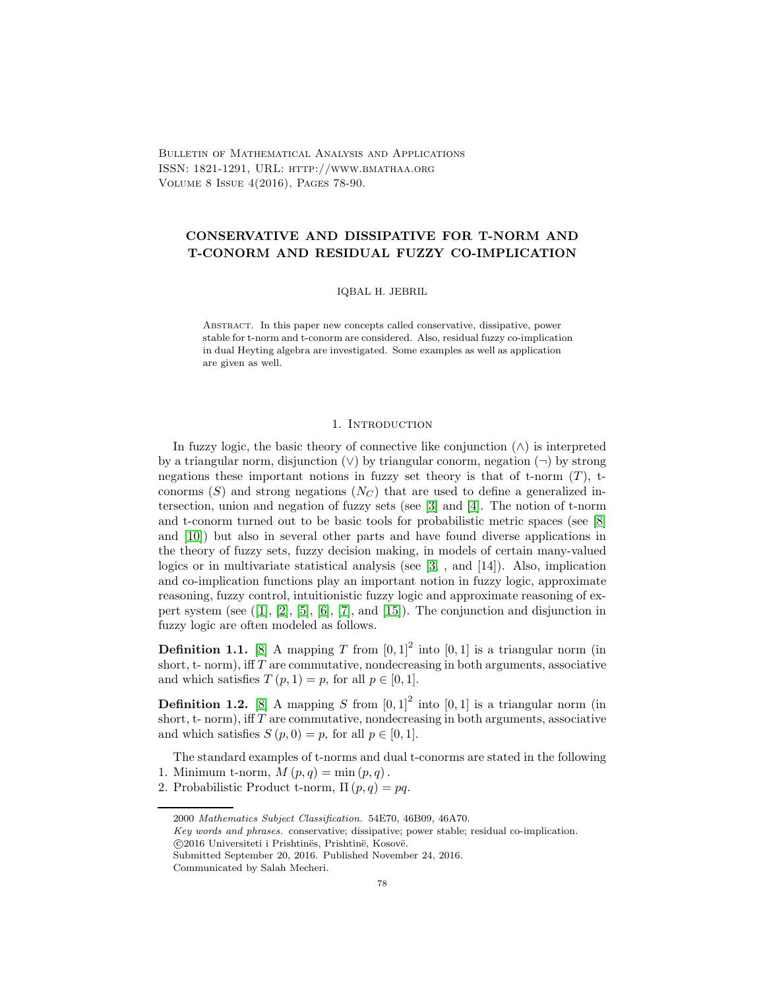Bulletin of Mathematical Analysis and Applications ISSN: 1821-1291, URL: http://www.bmathaa.org Volume 8 Issue 4(2016), Pages 78-90.

# CONSERVATIVE AND DISSIPATIVE FOR T-NORM AND T-CONORM AND RESIDUAL FUZZY CO-IMPLICATION

IQBAL H. JEBRIL

Abstract. In this paper new concepts called conservative, dissipative, power stable for t-norm and t-conorm are considered. Also, residual fuzzy co-implication in dual Heyting algebra are investigated. Some examples as well as application are given as well.

### 1. INTRODUCTION

In fuzzy logic, the basic theory of connective like conjunction  $(\wedge)$  is interpreted by a triangular norm, disjunction  $(\vee)$  by triangular conorm, negation  $(\neg)$  by strong negations these important notions in fuzzy set theory is that of t-norm  $(T)$ , tconorms  $(S)$  and strong negations  $(N_C)$  that are used to define a generalized intersection, union and negation of fuzzy sets (see [3] and [4]. The notion of t-norm and t-conorm turned out to be basic tools for probabilistic metric spaces (see [8] and [10]) but also in several other parts and have found diverse applications in the theory of fuzzy sets, fuzzy decision making, in models of certain many-valued logics or in multivariate statistical analysis (see [3, , and [14]). Also, implication and co-implication functions play an important notion in fuzzy logic, approximate reasoning, fuzzy control, intuitionistic fuzzy logic and approximate reasoning of expert system (see  $([1], [2], [5], [6], [7],$  and  $[15]$ ). The conjunction and disjunction in fuzzy logic are often modeled as follows.

**Definition 1.1.** [8] A mapping T from  $[0,1]^2$  into  $[0,1]$  is a triangular norm (in short,  $t$ - norm), iff  $T$  are commutative, nondecreasing in both arguments, associative and which satisfies  $T (p, 1) = p$ , for all  $p \in [0, 1]$ .

**Definition 1.2.** [8] A mapping S from  $[0,1]^2$  into  $[0,1]$  is a triangular norm (in short,  $t$ - norm), iff  $T$  are commutative, nondecreasing in both arguments, associative and which satisfies  $S(p, 0) = p$ , for all  $p \in [0, 1]$ .

The standard examples of t-norms and dual t-conorms are stated in the following

- 1. Minimum t-norm,  $M(p,q) = \min(p,q)$ .
- 2. Probabilistic Product t-norm,  $\Pi(p,q) = pq$ .

© 2016 Universiteti i Prishtinës, Prishtinë, Kosovë.

<sup>2000</sup> *Mathematics Subject Classification.* 54E70, 46B09, 46A70.

*Key words and phrases.* conservative; dissipative; power stable; residual co-implication.

Submitted September 20, 2016. Published November 24, 2016.

Communicated by Salah Mecheri.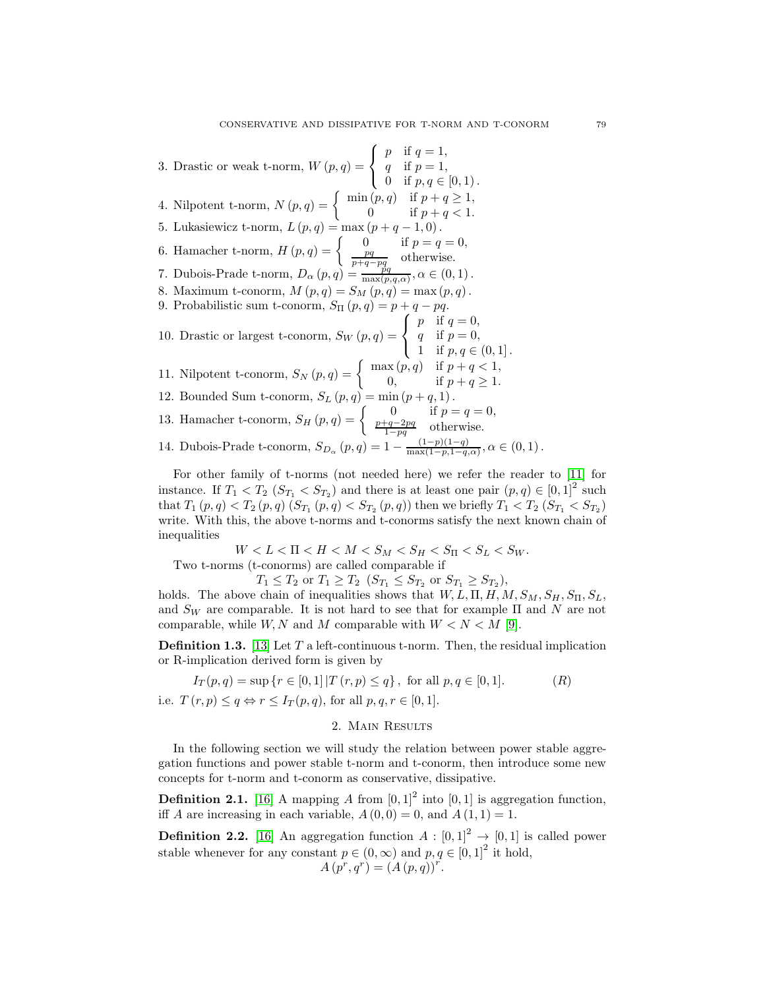3. Drastic or weak t-norm,  $W(p,q) =$  $\sqrt{ }$ Į  $\mathcal{L}$ p if  $q=1$ , q if  $p=1$ , 0 if  $p, q \in [0, 1)$ . 4. Nilpotent t-norm,  $N(p,q) = \begin{cases} \min(p,q) & \text{if } p+q \geq 1, \\ 0 & \text{if } p \geq 1, \end{cases}$ 0 if  $p + q < 1$ . 5. Lukasiewicz t-norm,  $L(p,q) = \max(p+q-1,0)$ . 6. Hamacher t-norm,  $H(p,q) = \begin{cases} 0 & \text{if } p = q = 0, \\ \frac{pq}{p+q-pq} & \text{otherwise.} \end{cases}$ 7. Dubois-Prade t-norm,  $D_{\alpha}(p,q) = \frac{p}{\max(p,q,\alpha)}, \alpha \in (0,1)$ . 8. Maximum t-conorm,  $M(p, q) = S_M(p, q) = \max(p, q)$ . 9. Probabilistic sum t-conorm,  $S_{\Pi} (p,q) = p + q - pq$ . 10. Drastic or largest t-conorm,  $S_W(p,q) =$  $\sqrt{ }$ <sup>J</sup>  $\mathcal{L}$ p if  $q = 0$ , q if  $p = 0$ , 1 if  $p, q \in (0, 1]$ . 11. Nilpotent t-conorm,  $S_N(p,q) = \begin{cases} \max(p,q) & \text{if } p+q < 1, \\ 0 & \text{if } p+q > 1. \end{cases}$ 0, if  $p + q \ge 1$ . 12. Bounded Sum t-conorm,  $S_L(p,q) = \min(p+q,1)$ . 13. Hamacher t-conorm,  $S_H(p,q) = \begin{cases} 0 & \text{if } p = q = 0, \\ \frac{p+q-2pq}{1-pq} & \text{otherwise.} \end{cases}$ 14. Dubois-Prade t-conorm,  $S_{D_{\alpha}}(p,q) = 1 - \frac{(1-p)(1-q)}{\max(1-p,1-q)}$  $\frac{(1-p)(1-q)}{\max(1-p,1-q,\alpha)}, \alpha \in (0,1).$ 

For other family of t-norms (not needed here) we refer the reader to [11] for instance. If  $T_1 < T_2$  ( $S_{T_1} < S_{T_2}$ ) and there is at least one pair  $(p, q) \in [0, 1]^2$  such that  $T_1(p,q) < T_2(p,q)$   $(S_{T_1}(p,q) < S_{T_2}(p,q))$  then we briefly  $T_1 < T_2$   $(S_{T_1} < S_{T_2})$ write. With this, the above t-norms and t-conorms satisfy the next known chain of inequalities

- $W < L < \Pi < H < M < S_M < S_H < S_\Pi < S_L < S_W$ . Two t-norms (t-conorms) are called comparable if
	- $T_1 \leq T_2$  or  $T_1 \geq T_2$   $(S_{T_1} \leq S_{T_2}$  or  $S_{T_1} \geq S_{T_2}$ ),

holds. The above chain of inequalities shows that  $W, L, \Pi, H, M, S_M, S_H, S_{\Pi}, S_L$ , and  $S_W$  are comparable. It is not hard to see that for example  $\Pi$  and N are not comparable, while W, N and M comparable with  $W < N < M$  [9].

**Definition 1.3.** [13] Let  $T$  a left-continuous t-norm. Then, the residual implication or R-implication derived form is given by

$$
I_T(p,q) = \sup \{ r \in [0,1] | T(r,p) \le q \}, \text{ for all } p, q \in [0,1].
$$
  
i.e.  $T(r,p) \le q \Leftrightarrow r \le I_T(p,q)$ , for all  $p,q,r \in [0,1].$  (R)

# 2. Main Results

In the following section we will study the relation between power stable aggregation functions and power stable t-norm and t-conorm, then introduce some new concepts for t-norm and t-conorm as conservative, dissipative.

**Definition 2.1.** [16] A mapping A from  $[0,1]^2$  into  $[0,1]$  is aggregation function, iff A are increasing in each variable,  $A(0,0) = 0$ , and  $A(1,1) = 1$ .

**Definition 2.2.** [16] An aggregation function  $A : [0,1]^2 \rightarrow [0,1]$  is called power stable whenever for any constant  $p \in (0, \infty)$  and  $p, q \in [0, 1]^2$  it hold,  $A(p^{r}, q^{r}) = (A(p, q))^{r}.$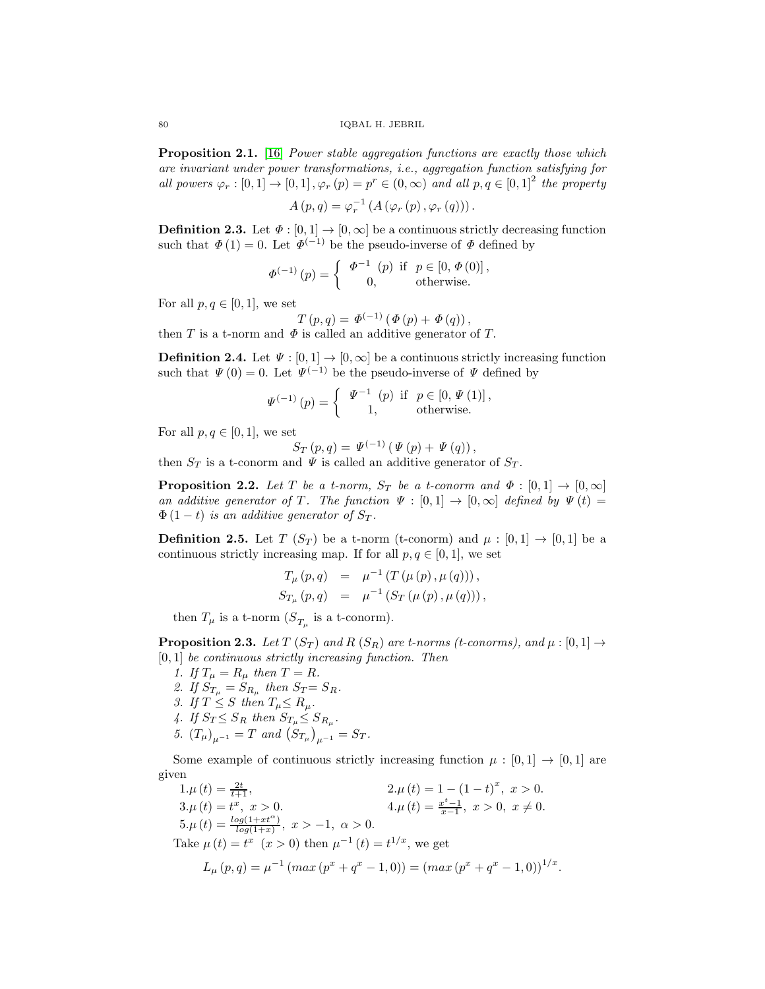**Proposition 2.1.** [16] Power stable aggregation functions are exactly those which are invariant under power transformations, i.e., aggregation function satisfying for all powers  $\varphi_r : [0,1] \to [0,1], \varphi_r (p) = p^r \in (0,\infty)$  and all  $p,q \in [0,1]^2$  the property

$$
A(p,q) = \varphi_r^{-1} (A(\varphi_r(p), \varphi_r(q))).
$$

**Definition 2.3.** Let  $\Phi : [0, 1] \to [0, \infty]$  be a continuous strictly decreasing function such that  $\Phi(1) = 0$ . Let  $\Phi^{(-1)}$  be the pseudo-inverse of  $\Phi$  defined by

$$
\varPhi^{\left(-1\right)}\left(p\right)=\left\{\begin{array}{cl}\varPhi^{-1}\left(p\right)\text{ if }\ p\in\left[0,\varPhi\left(0\right)\right],\\ 0,\qquad\text{otherwise.}\end{array}\right.
$$

For all  $p, q \in [0, 1]$ , we set

$$
T(p,q) = \varPhi^{(-1)}(\varPhi(p) + \varPhi(q)),
$$

then T is a t-norm and  $\Phi$  is called an additive generator of T.

**Definition 2.4.** Let  $\Psi : [0, 1] \to [0, \infty]$  be a continuous strictly increasing function such that  $\Psi(0) = 0$ . Let  $\Psi^{(-1)}$  be the pseudo-inverse of  $\Psi$  defined by

$$
\varPsi^{\left(-1\right)}\left(p\right)=\left\{ \begin{array}{cl} \varPsi^{-1}\left(p\right)\ \mbox{if}\ \ p\in\left[0,\varPsi\left(1\right)\right], \\ 1,\qquad \qquad \mbox{otherwise}. \end{array} \right.
$$

For all  $p, q \in [0, 1]$ , we set

$$
S_T (p,q) = \Psi^{(-1)} (\Psi (p) + \Psi (q)),
$$

then  $S_T$  is a t-conorm and  $\Psi$  is called an additive generator of  $S_T$ .

**Proposition 2.2.** Let T be a t-norm,  $S_T$  be a t-conorm and  $\Phi : [0,1] \rightarrow [0,\infty]$ an additive generator of T. The function  $\Psi : [0,1] \to [0,\infty]$  defined by  $\Psi(t) =$  $\Phi(1-t)$  is an additive generator of  $S_T$ .

**Definition 2.5.** Let T  $(S_T)$  be a t-norm (t-conorm) and  $\mu : [0,1] \rightarrow [0,1]$  be a continuous strictly increasing map. If for all  $p, q \in [0, 1]$ , we set

$$
T_{\mu}(p,q) = \mu^{-1}(T(\mu(p), \mu(q))),
$$
  
\n
$$
S_{T_{\mu}}(p,q) = \mu^{-1}(S_T(\mu(p), \mu(q))),
$$

then  $T_{\mu}$  is a t-norm  $(S_{T_{\mu}}$  is a t-conorm).

**Proposition 2.3.** Let T  $(S_T)$  and R  $(S_R)$  are t-norms (t-conorms), and  $\mu : [0,1] \rightarrow$  $[0, 1]$  be continuous strictly increasing function. Then

1. If  $T_{\mu} = R_{\mu}$  then  $T = R$ . 2. If  $S_{T_{\mu}} = S_{R_{\mu}}$  then  $S_T = S_R$ . 3. If  $T \leq S$  then  $T_{\mu} \leq R_{\mu}$ . 4. If  $S_T \leq S_R$  then  $S_{T_{\mu}} \leq S_{R_{\mu}}$ . 5.  $(T_{\mu})_{\mu^{-1}} = T$  and  $(S_{T_{\mu}})_{\mu^{-1}} = S_T$ .

Some example of continuous strictly increasing function  $\mu : [0, 1] \rightarrow [0, 1]$  are given

1.
$$
\mu(t) = \frac{2t}{t+1}
$$
,  
\n2. $\mu(t) = 1 - (1 - t)^x$ ,  $x > 0$ .  
\n3. $\mu(t) = t^x$ ,  $x > 0$ .  
\n4. $\mu(t) = \frac{x^t - 1}{x-1}$ ,  $x > 0$ ,  $x \neq 0$ .  
\n5. $\mu(t) = \frac{\log(1 + xt^{\alpha})}{\log(1 + x)}$ ,  $x > -1$ ,  $\alpha > 0$ .  
\nTake  $\mu(t) = t^x$  ( $x > 0$ ) then  $\mu^{-1}(t) = t^{1/x}$ , we get  
\n
$$
L_{\mu}(p,q) = \mu^{-1} \left( \max (p^x + q^x - 1, 0) \right) = \left( \max (p^x + q^x - 1, 0) \right)^{1/x}.
$$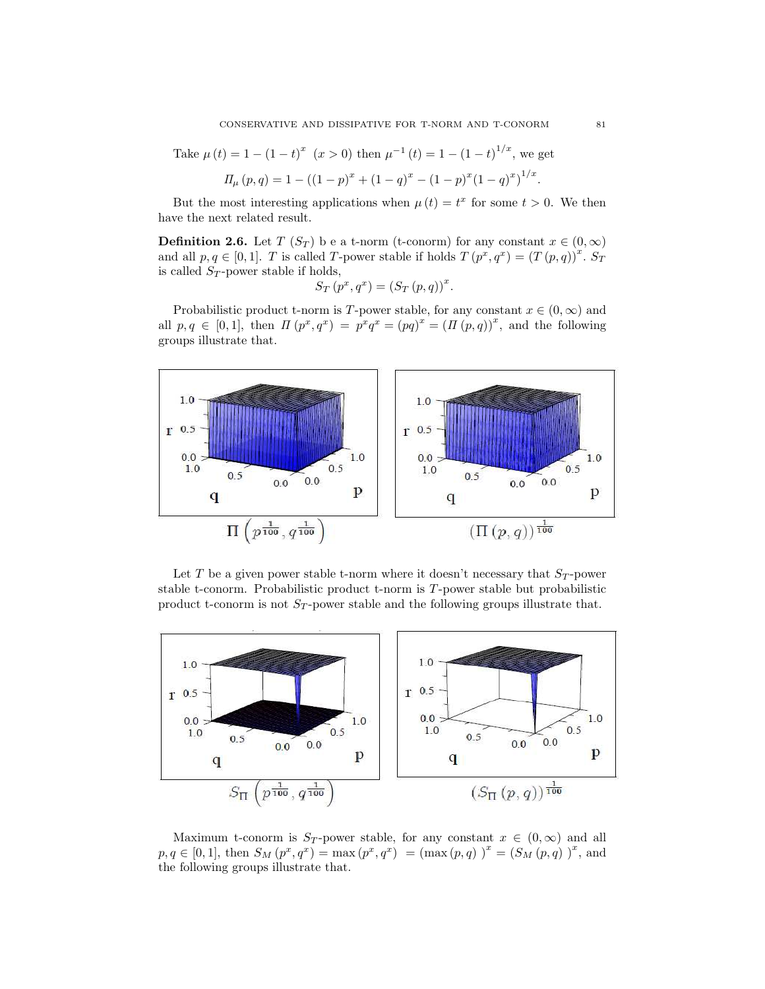Take 
$$
\mu(t) = 1 - (1 - t)^x
$$
  $(x > 0)$  then  $\mu^{-1}(t) = 1 - (1 - t)^{1/x}$ , we get

$$
\Pi_{\mu}(p,q) = 1 - ((1-p)^{x} + (1-q)^{x} - (1-p)^{x}(1-q)^{x})^{1/x}.
$$

But the most interesting applications when  $\mu(t) = t^x$  for some  $t > 0$ . We then have the next related result.

**Definition 2.6.** Let  $T(S_T)$  b e a t-norm (t-conorm) for any constant  $x \in (0, \infty)$ and all  $p, q \in [0, 1]$ . T is called T-power stable if holds  $T (p^x, q^x) = (T (p, q))^x$ . S<sub>T</sub> is called  $S_T$ -power stable if holds,

$$
S_T(p^x, q^x) = (S_T(p, q))^x
$$
.

Probabilistic product t-norm is T-power stable, for any constant  $x \in (0, \infty)$  and all  $p, q \in [0, 1]$ , then  $\Pi(p^x, q^x) = p^x q^x = (pq)^x = (\Pi(p, q))^x$ , and the following groups illustrate that.



Let T be a given power stable t-norm where it doesn't necessary that  $S_T$ -power stable t-conorm. Probabilistic product t-norm is T -power stable but probabilistic product t-conorm is not  $S_T$ -power stable and the following groups illustrate that.



Maximum t-conorm is S<sub>T</sub>-power stable, for any constant  $x \in (0, \infty)$  and all  $p, q \in [0, 1],$  then  $S_M(p^x, q^x) = \max(p^x, q^x) = (\max(p, q))^{x} = (S_M(p, q))^{x}$ , and the following groups illustrate that.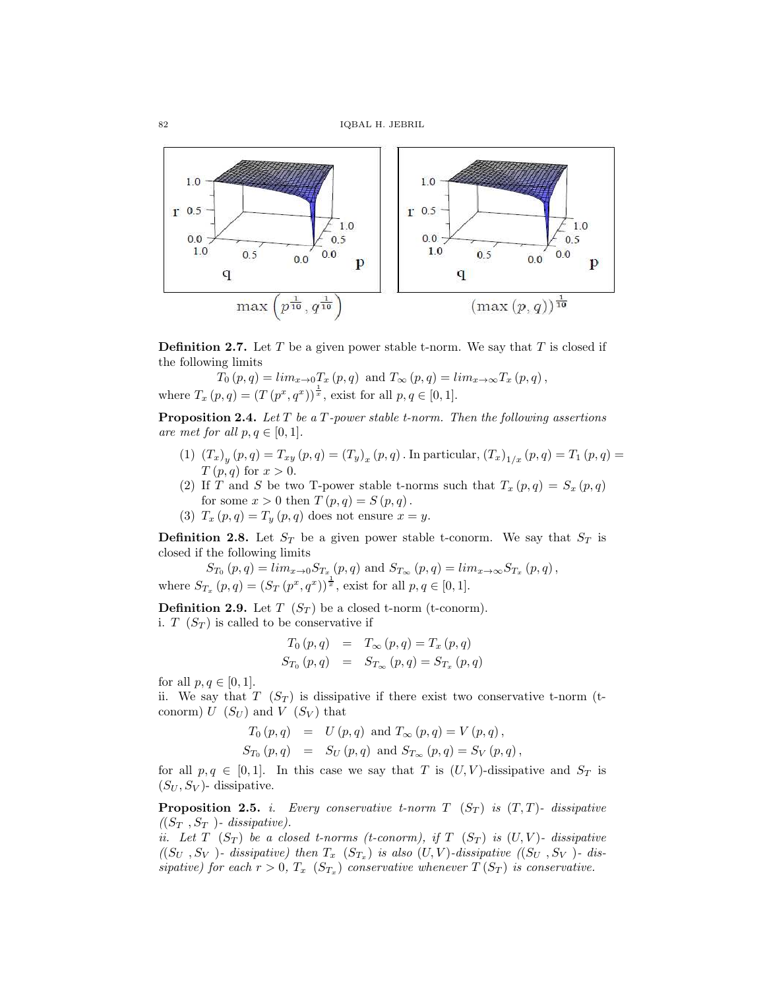

**Definition 2.7.** Let T be a given power stable t-norm. We say that T is closed if the following limits

 $T_0(p,q) = lim_{x\to 0} T_x(p,q)$  and  $T_\infty(p,q) = lim_{x\to \infty} T_x(p,q)$ , where  $T_x(p,q) = (T (p^x, q^x))^{\frac{1}{x}}$ , exist for all  $p, q \in [0, 1]$ .

**Proposition 2.4.** Let  $T$  be a  $T$ -power stable t-norm. Then the following assertions are met for all  $p, q \in [0, 1]$ .

- (1)  $(T_x)_y(p,q) = T_{xy}(p,q) = (T_y)_x(p,q)$ . In particular,  $(T_x)_{1/x}(p,q) = T_1(p,q) = T_2(q,q)$  $T(p,q)$  for  $x > 0$ .
- (2) If T and S be two T-power stable t-norms such that  $T_x(p,q) = S_x(p,q)$ for some  $x > 0$  then  $T(p, q) = S(p, q)$ .
- (3)  $T_x (p,q) = T_y (p,q)$  does not ensure  $x = y$ .

**Definition 2.8.** Let  $S_T$  be a given power stable t-conorm. We say that  $S_T$  is closed if the following limits

 $S_{T_0}(p,q) = \lim_{x\to 0} S_{T_x}(p,q)$  and  $S_{T_{\infty}}(p,q) = \lim_{x\to \infty} S_{T_x}(p,q)$ , where  $S_{T_x}(p,q) = (S_T(p^x, q^x))^{\frac{1}{x}}$ , exist for all  $p, q \in [0, 1]$ .

**Definition 2.9.** Let  $T(S_T)$  be a closed t-norm (t-conorm). i.  $T(S_T)$  is called to be conservative if

$$
T_0 (p, q) = T_{\infty} (p, q) = T_x (p, q)
$$
  

$$
S_{T_0} (p, q) = S_{T_{\infty}} (p, q) = S_{T_x} (p, q)
$$

for all  $p, q \in [0, 1]$ .

ii. We say that  $T(S_T)$  is dissipative if there exist two conservative t-norm (tconorm) U  $(S_U)$  and V  $(S_V)$  that

$$
T_0(p,q) = U(p,q)
$$
 and  $T_{\infty}(p,q) = V(p,q)$ ,  
\n $S_{T_0}(p,q) = S_U(p,q)$  and  $S_{T_{\infty}}(p,q) = S_V(p,q)$ ,

for all  $p, q \in [0, 1]$ . In this case we say that T is  $(U, V)$ -dissipative and  $S_T$  is  $(S_U, S_V)$ - dissipative.

**Proposition 2.5.** *i. Every conservative t-norm T*  $(S_T)$  *is*  $(T, T)$ - *dissipative*  $((S_T, S_T)$ - dissipative).

ii. Let  $T(S_T)$  be a closed t-norms (t-conorm), if  $T(S_T)$  is  $(U, V)$ - dissipative  $((S_U, S_V)$ - dissipative) then  $T_x$   $(S_{T_x})$  is also  $(U, V)$ -dissipative  $((S_U, S_V)$ - dissipative) for each  $r > 0$ ,  $T_x$  ( $S_{T_x}$ ) conservative whenever  $T(S_T)$  is conservative.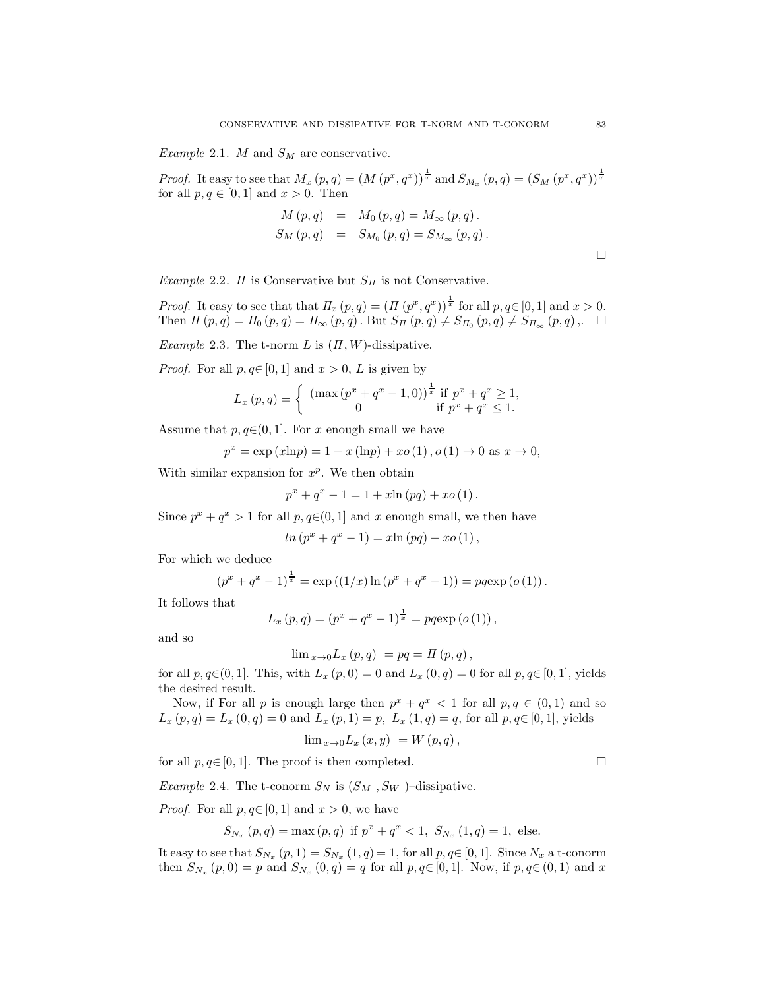Example 2.1. M and  $S_M$  are conservative.

*Proof.* It easy to see that  $M_x(p,q) = (M(p^x, q^x))^{\frac{1}{x}}$  and  $S_{M_x}(p,q) = (S_M(p^x, q^x))^{\frac{1}{x}}$ for all  $p, q \in [0, 1]$  and  $x > 0$ . Then

$$
M(p,q) = M_0(p,q) = M_{\infty}(p,q).
$$
  
\n
$$
S_M(p,q) = S_{M_0}(p,q) = S_{M_{\infty}}(p,q).
$$

Example 2.2.  $\Pi$  is Conservative but  $S_{\Pi}$  is not Conservative.

*Proof.* It easy to see that that  $\Pi_x(p,q) = (H(p^x, q^x))^{\frac{1}{x}}$  for all  $p, q \in [0, 1]$  and  $x > 0$ . Then  $\Pi(p,q) = \Pi_0(p,q) = \Pi_{\infty}(p,q)$ . But  $S_{\Pi}(p,q) \neq S_{\Pi_0}(p,q) \neq S_{\Pi_{\infty}}(p,q)$ ,.

*Example 2.3.* The t-norm L is  $(\Pi, W)$ -dissipative.

*Proof.* For all  $p, q \in [0, 1]$  and  $x > 0$ , L is given by

$$
L_x(p,q) = \begin{cases} (\max (p^x + q^x - 1, 0))^{\frac{1}{x}} & \text{if } p^x + q^x \ge 1, \\ 0 & \text{if } p^x + q^x \le 1. \end{cases}
$$

Assume that  $p, q \in (0, 1]$ . For x enough small we have

$$
p^{x} = \exp(x\ln p) = 1 + x(\ln p) + xo(1), o(1) \to 0 \text{ as } x \to 0,
$$

With similar expansion for  $x^p$ . We then obtain

$$
p^{x} + q^{x} - 1 = 1 + x \ln(pq) + xo(1).
$$

Since  $p^x + q^x > 1$  for all  $p, q \in (0, 1]$  and x enough small, we then have

$$
ln (p^{x} + q^{x} - 1) = xln (pq) + xo(1),
$$

For which we deduce

$$
(p^{x} + q^{x} - 1)^{\frac{1}{x}} = \exp((1/x) \ln (p^{x} + q^{x} - 1)) = p q \exp (o(1)).
$$

It follows that

$$
L_x(p,q) = (p^x + q^x - 1)^{\frac{1}{x}} = pq \exp(o(1)),
$$

and so

$$
\lim_{x\to 0}L_x(p,q) = pq = \Pi(p,q),
$$

for all  $p, q \in (0, 1]$ . This, with  $L_x (p, 0) = 0$  and  $L_x (0, q) = 0$  for all  $p, q \in [0, 1]$ , yields the desired result.

Now, if For all p is enough large then  $p^x + q^x < 1$  for all  $p, q \in (0, 1)$  and so  $L_x(p,q) = L_x(0,q) = 0$  and  $L_x(p,1) = p$ ,  $L_x(1,q) = q$ , for all  $p, q \in [0,1]$ , yields

$$
\lim_{x \to 0} L_x(x, y) = W(p, q),
$$

for all  $p, q \in [0, 1]$ . The proof is then completed.

*Example* 2.4. The t-conorm  $S_N$  is  $(S_M, S_W)$ -dissipative.

*Proof.* For all  $p, q \in [0, 1]$  and  $x > 0$ , we have

$$
S_{N_x}(p,q) = \max(p,q) \text{ if } p^x + q^x < 1, S_{N_x}(1,q) = 1, \text{ else.}
$$

It easy to see that  $S_{N_x}(p,1) = S_{N_x}(1,q) = 1$ , for all  $p,q \in [0,1]$ . Since  $N_x$  a t-conorm then  $S_{N_x}(p,0) = p$  and  $S_{N_x}(0,q) = q$  for all  $p,q \in [0,1]$ . Now, if  $p,q \in (0,1)$  and x

 $\Box$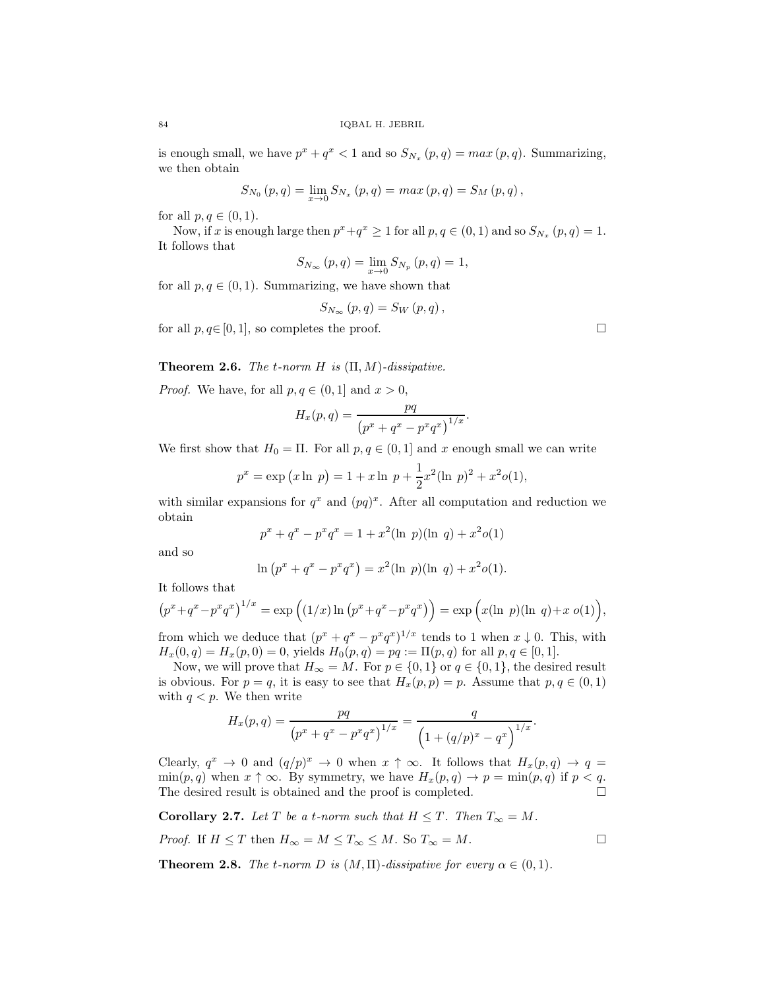is enough small, we have  $p^x + q^x < 1$  and so  $S_{N_x}(p,q) = max(p,q)$ . Summarizing, we then obtain

$$
S_{N_{0}}(p,q)=\lim_{x\to 0}S_{N_{x}}(p,q)=max(p,q)=S_{M}(p,q),
$$

for all  $p, q \in (0, 1)$ .

Now, if x is enough large then  $p^x + q^x \ge 1$  for all  $p, q \in (0, 1)$  and so  $S_{N_x}(p, q) = 1$ . It follows that

$$
S_{N_{\infty}}(p,q) = \lim_{x \to 0} S_{N_p}(p,q) = 1,
$$

for all  $p, q \in (0, 1)$ . Summarizing, we have shown that

$$
S_{N_{\infty}}(p,q)=S_{W}(p,q),
$$

for all  $p, q \in [0, 1]$ , so completes the proof.

**Theorem 2.6.** The t-norm H is  $(\Pi, M)$ -dissipative.

*Proof.* We have, for all  $p, q \in (0, 1]$  and  $x > 0$ ,

$$
H_x(p,q) = \frac{pq}{(p^x + q^x - p^x q^x)^{1/x}}.
$$

We first show that  $H_0 = \Pi$ . For all  $p, q \in (0, 1]$  and x enough small we can write

$$
p^{x} = \exp(x \ln p) = 1 + x \ln p + \frac{1}{2}x^{2}(\ln p)^{2} + x^{2}o(1),
$$

with similar expansions for  $q^x$  and  $(pq)^x$ . After all computation and reduction we obtain

$$
p^{x} + q^{x} - p^{x}q^{x} = 1 + x^{2}(\ln p)(\ln q) + x^{2}o(1)
$$

and so

$$
\ln (p^x + q^x - p^x q^x) = x^2 (\ln p)(\ln q) + x^2 o(1).
$$

It follows that

$$
(p^{x} + q^{x} - p^{x} q^{x})^{1/x} = \exp ((1/x) \ln (p^{x} + q^{x} - p^{x} q^{x})) = \exp ((x(\ln p)(\ln q) + x o(1))),
$$

from which we deduce that  $(p^x + q^x - p^x q^x)^{1/x}$  tends to 1 when  $x \downarrow 0$ . This, with  $H_x(0, q) = H_x(p, 0) = 0$ , yields  $H_0(p, q) = pq := \Pi(p, q)$  for all  $p, q \in [0, 1]$ .

Now, we will prove that  $H_{\infty} = M$ . For  $p \in \{0, 1\}$  or  $q \in \{0, 1\}$ , the desired result is obvious. For  $p = q$ , it is easy to see that  $H_x(p, p) = p$ . Assume that  $p, q \in (0, 1)$ with  $q < p$ . We then write

$$
H_x(p,q) = \frac{pq}{(p^x + q^x - p^x q^x)^{1/x}} = \frac{q}{(1 + (q/p)^x - q^x)^{1/x}}.
$$

Clearly,  $q^x \to 0$  and  $(q/p)^x \to 0$  when  $x \uparrow \infty$ . It follows that  $H_x(p,q) \to q =$  $\min(p,q)$  when  $x \uparrow \infty$ . By symmetry, we have  $H_x(p,q) \to p = \min(p,q)$  if  $p < q$ . The desired result is obtained and the proof is completed.  $\Box$ 

Corollary 2.7. Let T be a t-norm such that  $H \leq T$ . Then  $T_{\infty} = M$ .

*Proof.* If  $H \leq T$  then  $H_{\infty} = M \leq T_{\infty} \leq M$ . So  $T_{\infty} = M$ .

**Theorem 2.8.** The t-norm D is  $(M, \Pi)$ -dissipative for every  $\alpha \in (0, 1)$ .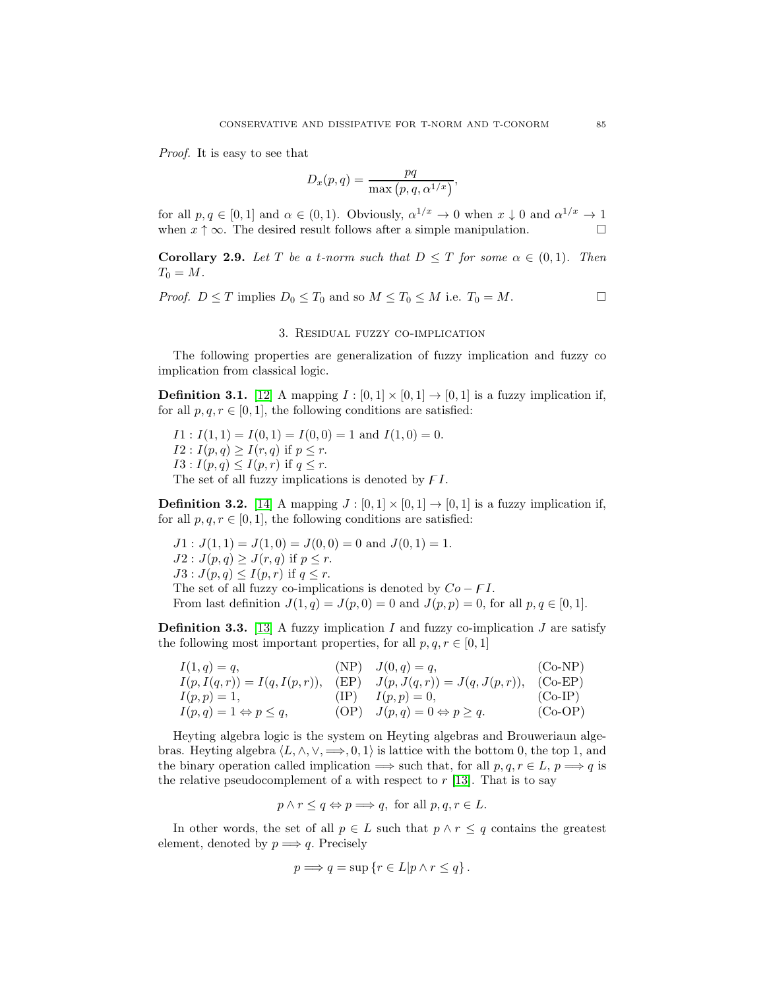Proof. It is easy to see that

$$
D_x(p,q) = \frac{pq}{\max (p,q,\alpha^{1/x})},
$$

for all  $p, q \in [0, 1]$  and  $\alpha \in (0, 1)$ . Obviously,  $\alpha^{1/x} \to 0$  when  $x \downarrow 0$  and  $\alpha^{1/x} \to 1$ when  $x \uparrow \infty$ . The desired result follows after a simple manipulation.

**Corollary 2.9.** Let T be a t-norm such that  $D \leq T$  for some  $\alpha \in (0,1)$ . Then  $T_0 = M$ .

*Proof.*  $D \leq T$  implies  $D_0 \leq T_0$  and so  $M \leq T_0 \leq M$  i.e.  $T_0 = M$ .

## 3. Residual fuzzy co-implication

The following properties are generalization of fuzzy implication and fuzzy co implication from classical logic.

**Definition 3.1.** [12] A mapping  $I : [0,1] \times [0,1] \rightarrow [0,1]$  is a fuzzy implication if, for all  $p, q, r \in [0, 1]$ , the following conditions are satisfied:

 $I1: I(1,1) = I(0,1) = I(0,0) = 1$  and  $I(1,0) = 0$ .  $I2: I(p,q) \geq I(r,q)$  if  $p \leq r$ .  $I3: I(p,q) \leq I(p,r)$  if  $q \leq r$ . The set of all fuzzy implications is denoted by  $\overline{F}I$ .

**Definition 3.2.** [14] A mapping  $J : [0,1] \times [0,1] \rightarrow [0,1]$  is a fuzzy implication if, for all  $p, q, r \in [0, 1]$ , the following conditions are satisfied:

 $J1: J(1,1) = J(1,0) = J(0,0) = 0$  and  $J(0,1) = 1$ .  $J2: J(p,q) \geq J(r,q)$  if  $p \leq r$ .  $J3: J(p,q) \leq I(p,r)$  if  $q \leq r$ . The set of all fuzzy co-implications is denoted by  $Co - \digamma I$ . From last definition  $J(1, q) = J(p, 0) = 0$  and  $J(p, p) = 0$ , for all  $p, q \in [0, 1]$ .

**Definition 3.3.** [13] A fuzzy implication I and fuzzy co-implication J are satisfy the following most important properties, for all  $p, q, r \in [0, 1]$ 

$$
I(1, q) = q,
$$
 (CP)  
\n
$$
I(p, I(q, r)) = I(q, I(p, r)),
$$
 (EP)  
\n
$$
I(p, p) = 1,
$$
 (CP)  
\n
$$
I(p, p) = 1,
$$
 (CP)  
\n
$$
I(p, q) = 1 \Leftrightarrow p \le q,
$$
 (CP)  
\n
$$
J(p, q) = 0 \Leftrightarrow p \ge q.
$$
 (Co-OP)

Heyting algebra logic is the system on Heyting algebras and Brouweriaun algebras. Heyting algebra  $\langle L, \wedge, \vee, \Longrightarrow, 0, 1 \rangle$  is lattice with the bottom 0, the top 1, and the binary operation called implication  $\implies$  such that, for all  $p, q, r \in L$ ,  $p \implies q$  is the relative pseudocomplement of a with respect to  $r$  [13]. That is to say

$$
p \wedge r \le q \Leftrightarrow p \Longrightarrow q, \text{ for all } p, q, r \in L.
$$

In other words, the set of all  $p \in L$  such that  $p \wedge r \leq q$  contains the greatest element, denoted by  $p \Longrightarrow q$ . Precisely

$$
p \Longrightarrow q = \sup \{ r \in L | p \wedge r \le q \} .
$$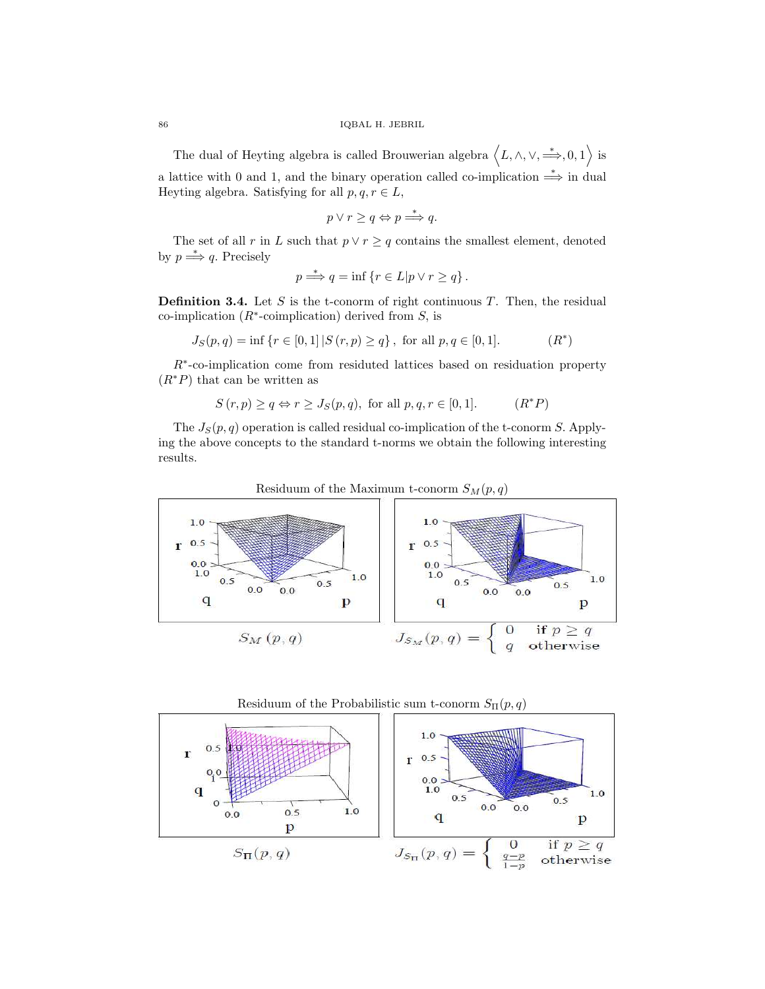The dual of Heyting algebra is called Brouwerian algebra  $\langle L, \wedge, \vee, \stackrel{*}{\Longrightarrow}, 0, 1 \rangle$  is a lattice with 0 and 1, and the binary operation called co-implication  $\Rightarrow$  in dual Heyting algebra. Satisfying for all  $p, q, r \in L$ ,

$$
p \lor r \ge q \Leftrightarrow p \stackrel{*}{\implies} q.
$$

The set of all r in L such that  $p \vee r \geq q$  contains the smallest element, denoted by  $p \stackrel{*}{\Longrightarrow} q$ . Precisely

$$
p \stackrel{*}{\Longrightarrow} q = \inf \left\{ r \in L \middle| p \vee r \geq q \right\}.
$$

**Definition 3.4.** Let  $S$  is the t-conorm of right continuous  $T$ . Then, the residual co-implication ( $R^*$ -coimplication) derived from  $S$ , is

$$
J_S(p,q) = \inf \left\{ r \in [0,1] \, | \, S(r,p) \ge q \right\}, \text{ for all } p,q \in [0,1]. \tag{R^*}
$$

R∗ -co-implication come from residuted lattices based on residuation property  $(R<sup>*</sup>P)$  that can be written as

$$
S(r,p) \ge q \Leftrightarrow r \ge J_S(p,q), \text{ for all } p,q,r \in [0,1]. \tag{R*P}
$$

The  $J<sub>S</sub>(p, q)$  operation is called residual co-implication of the t-conorm S. Applying the above concepts to the standard t-norms we obtain the following interesting results.





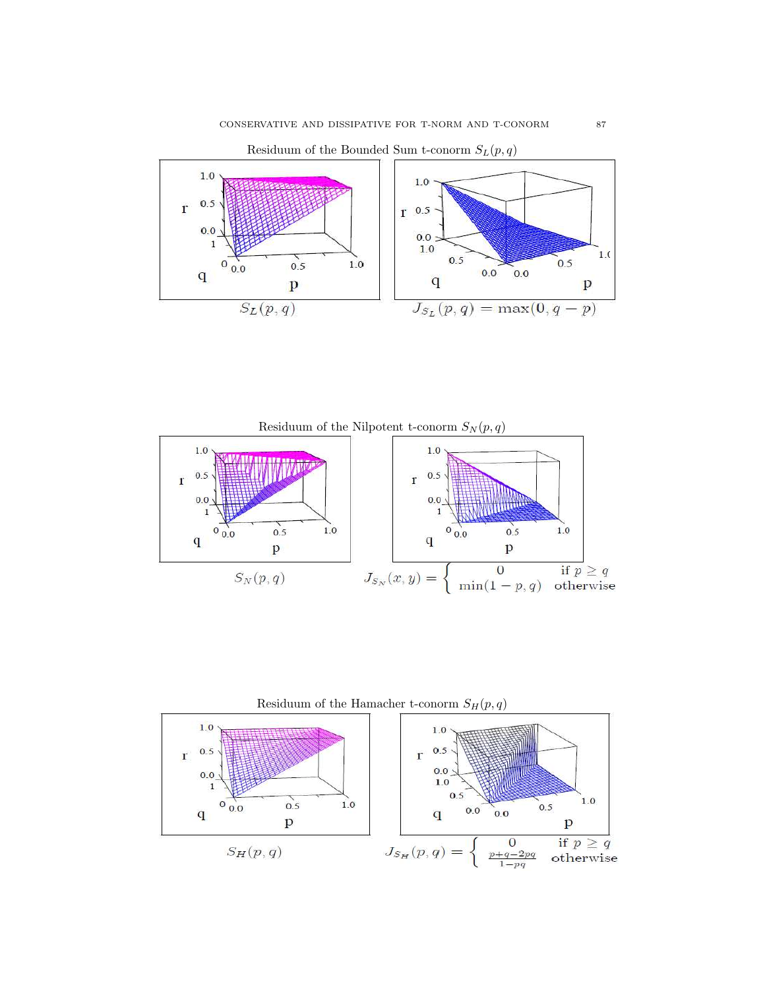

Residuum of the Bounded Sum t-conorm  $S_{\cal L}(p,q)$ 





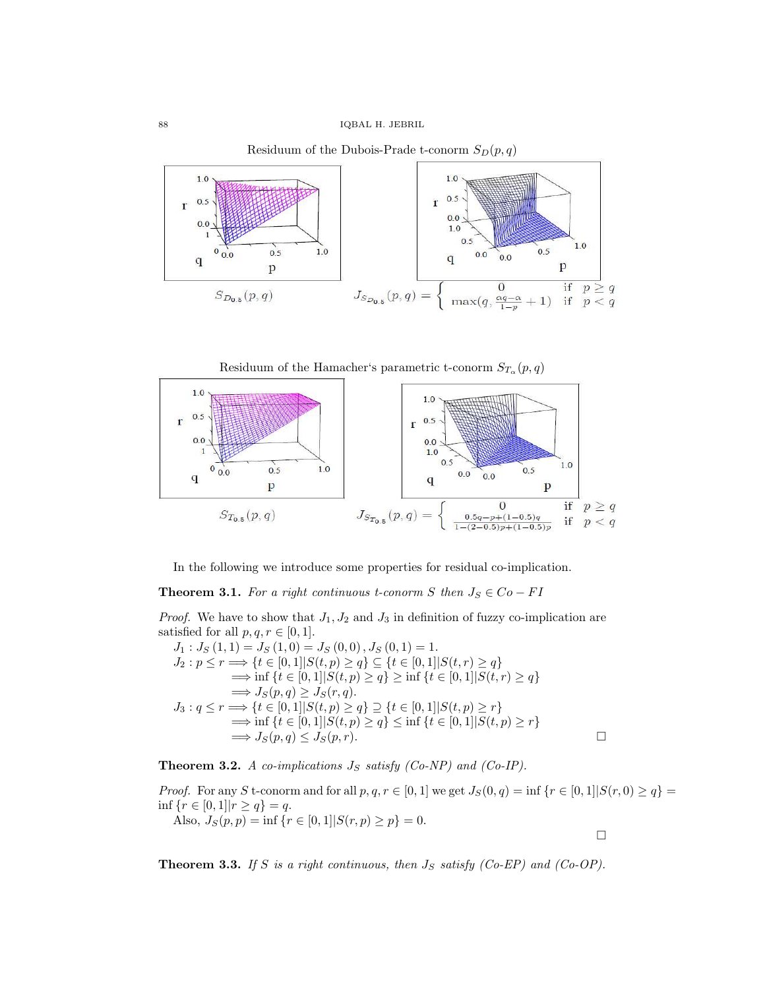







In the following we introduce some properties for residual co-implication.

**Theorem 3.1.** For a right continuous t-conorm S then  $J_S \in Co - FI$ 

*Proof.* We have to show that  $J_1, J_2$  and  $J_3$  in definition of fuzzy co-implication are satisfied for all  $p, q, r \in [0, 1]$ .

 $J_1: J_S(1, 1) = J_S(1, 0) = J_S(0, 0), J_S(0, 1) = 1.$  $J_2: p \le r \Longrightarrow \{t \in [0,1] | S(t,p) \ge q\} \subseteq \{t \in [0,1] | S(t,r) \ge q\}$  $\implies \inf \{ t \in [0,1] | S(t,p) \geq q \} \geq \inf \{ t \in [0,1] | S(t,r) \geq q \}$  $\Longrightarrow J_S(p,q) \geq J_S(r,q).$  $J_3: q \leq r \Longrightarrow \{t \in [0,1] | S(t,p) \geq q\} \supseteq \{t \in [0,1] | S(t,p) \geq r\}$  $\implies \inf \{ t \in [0,1] | S(t,p) \geq q \} \leq \inf \{ t \in [0,1] | S(t,p) \geq r \}$  $\Rightarrow J_S(p,q) \leq J_S(p,r).$ 

**Theorem 3.2.** A co-implications  $J<sub>S</sub>$  satisfy (Co-NP) and (Co-IP).

*Proof.* For any S t-conorm and for all  $p, q, r \in [0, 1]$  we get  $J_S(0, q) = \inf \{r \in [0, 1] | S(r, 0) \ge q\}$ inf  $\{r \in [0, 1]| r \geq q\} = q.$ Also,  $J_S(p, p) = \inf \{r \in [0, 1] | S(r, p) \ge p\} = 0.$  $\Box$ 

**Theorem 3.3.** If S is a right continuous, then  $J<sub>S</sub>$  satisfy (Co-EP) and (Co-OP).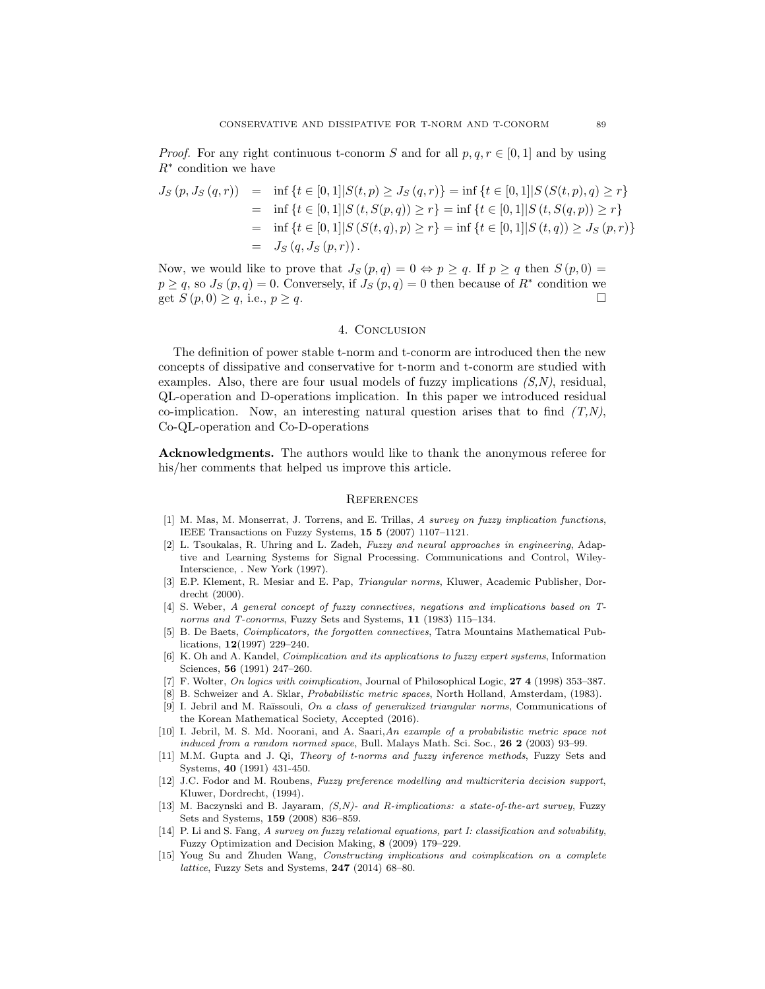*Proof.* For any right continuous t-conorm S and for all  $p, q, r \in [0, 1]$  and by using  $R^*$  condition we have

$$
J_S(p, J_S(q, r)) = \inf \{ t \in [0, 1] | S(t, p) \ge J_S(q, r) \} = \inf \{ t \in [0, 1] | S(S(t, p), q) \ge r \}
$$
  
= 
$$
\inf \{ t \in [0, 1] | S(t, S(p, q)) \ge r \} = \inf \{ t \in [0, 1] | S(t, S(q, p)) \ge r \}
$$
  
= 
$$
\inf \{ t \in [0, 1] | S(S(t, q), p) \ge r \} = \inf \{ t \in [0, 1] | S(t, q)) \ge J_S(p, r) \}
$$
  
= 
$$
J_S(q, J_S(p, r)).
$$

Now, we would like to prove that  $J_S(p,q) = 0 \Leftrightarrow p \geq q$ . If  $p \geq q$  then  $S(p,0) =$  $p \geq q$ , so  $J_S(p,q) = 0$ . Conversely, if  $J_S(p,q) = 0$  then because of  $R^*$  condition we get  $S(p, 0) \geq q$ , i.e.,  $p \geq q$ .

### 4. CONCLUSION

The definition of power stable t-norm and t-conorm are introduced then the new concepts of dissipative and conservative for t-norm and t-conorm are studied with examples. Also, there are four usual models of fuzzy implications  $(S, N)$ , residual, QL-operation and D-operations implication. In this paper we introduced residual co-implication. Now, an interesting natural question arises that to find  $(T,N)$ , Co-QL-operation and Co-D-operations

Acknowledgments. The authors would like to thank the anonymous referee for his/her comments that helped us improve this article.

#### **REFERENCES**

- [1] M. Mas, M. Monserrat, J. Torrens, and E. Trillas, *A survey on fuzzy implication functions*, IEEE Transactions on Fuzzy Systems, 15 5 (2007) 1107–1121.
- [2] L. Tsoukalas, R. Uhring and L. Zadeh, *Fuzzy and neural approaches in engineering*, Adaptive and Learning Systems for Signal Processing. Communications and Control, Wiley-Interscience, . New York (1997).
- [3] E.P. Klement, R. Mesiar and E. Pap, *Triangular norms*, Kluwer, Academic Publisher, Dordrecht (2000).
- [4] S. Weber, *A general concept of fuzzy connectives, negations and implications based on Tnorms and T-conorms*, Fuzzy Sets and Systems, 11 (1983) 115–134.
- [5] B. De Baets, *Coimplicators, the forgotten connectives*, Tatra Mountains Mathematical Publications, 12(1997) 229–240.
- [6] K. Oh and A. Kandel, *Coimplication and its applications to fuzzy expert systems*, Information Sciences, 56 (1991) 247–260.
- [7] F. Wolter, *On logics with coimplication*, Journal of Philosophical Logic, 27 4 (1998) 353–387.
- [8] B. Schweizer and A. Sklar, *Probabilistic metric spaces*, North Holland, Amsterdam, (1983).
- [9] I. Jebril and M. Ra¨ıssouli, *On a class of generalized triangular norms*, Communications of the Korean Mathematical Society, Accepted (2016).
- [10] I. Jebril, M. S. Md. Noorani, and A. Saari,*An example of a probabilistic metric space not induced from a random normed space*, Bull. Malays Math. Sci. Soc., 26 2 (2003) 93–99.
- [11] M.M. Gupta and J. Qi, *Theory of t-norms and fuzzy inference methods*, Fuzzy Sets and Systems, 40 (1991) 431-450.
- [12] J.C. Fodor and M. Roubens, *Fuzzy preference modelling and multicriteria decision support*, Kluwer, Dordrecht, (1994).
- [13] M. Baczynski and B. Jayaram, *(S,N)- and R-implications: a state-of-the-art survey*, Fuzzy Sets and Systems, 159 (2008) 836–859.
- [14] P. Li and S. Fang, *A survey on fuzzy relational equations, part I: classification and solvability*, Fuzzy Optimization and Decision Making, 8 (2009) 179–229.
- [15] Youg Su and Zhuden Wang, *Constructing implications and coimplication on a complete lattice*, Fuzzy Sets and Systems, 247 (2014) 68–80.